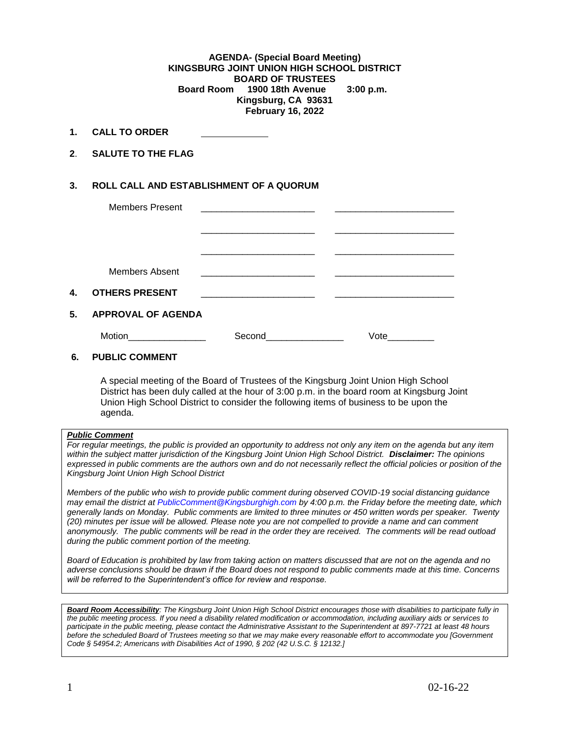### **AGENDA- (Special Board Meeting) KINGSBURG JOINT UNION HIGH SCHOOL DISTRICT BOARD OF TRUSTEES Board Room 1900 18th Avenue 3:00 p.m. Kingsburg, CA 93631 February 16, 2022**

- **1. CALL TO ORDER**
- **2**. **SALUTE TO THE FLAG**

## **3. ROLL CALL AND ESTABLISHMENT OF A QUORUM**

|    | <b>Members Present</b>    |        |      |  |
|----|---------------------------|--------|------|--|
|    |                           |        |      |  |
|    |                           |        |      |  |
|    |                           |        |      |  |
|    | Members Absent            |        |      |  |
| 4. | <b>OTHERS PRESENT</b>     |        |      |  |
| 5. | <b>APPROVAL OF AGENDA</b> |        |      |  |
|    | Motion                    | Second | Vote |  |

## **6. PUBLIC COMMENT**

A special meeting of the Board of Trustees of the Kingsburg Joint Union High School District has been duly called at the hour of 3:00 p.m. in the board room at Kingsburg Joint Union High School District to consider the following items of business to be upon the agenda.

#### *Public Comment*

*For regular meetings, the public is provided an opportunity to address not only any item on the agenda but any item within the subject matter jurisdiction of the Kingsburg Joint Union High School District. Disclaimer: The opinions expressed in public comments are the authors own and do not necessarily reflect the official policies or position of the Kingsburg Joint Union High School District*

*Members of the public who wish to provide public comment during observed COVID-19 social distancing guidance may email the district at [PublicComment@Kingsburghigh.com](mailto:PublicComment@Kingsburghigh.com) by 4:00 p.m. the Friday before the meeting date, which generally lands on Monday. Public comments are limited to three minutes or 450 written words per speaker. Twenty (20) minutes per issue will be allowed. Please note you are not compelled to provide a name and can comment anonymously. The public comments will be read in the order they are received. The comments will be read outload during the public comment portion of the meeting.*

*Board of Education is prohibited by law from taking action on matters discussed that are not on the agenda and no adverse conclusions should be drawn if the Board does not respond to public comments made at this time. Concerns will be referred to the Superintendent's office for review and response.* 

*Board Room Accessibility: The Kingsburg Joint Union High School District encourages those with disabilities to participate fully in the public meeting process. If you need a disability related modification or accommodation, including auxiliary aids or services to participate in the public meeting, please contact the Administrative Assistant to the Superintendent at 897-7721 at least 48 hours before the scheduled Board of Trustees meeting so that we may make every reasonable effort to accommodate you [Government Code § 54954.2; Americans with Disabilities Act of 1990, § 202 (42 U.S.C. § 12132.]*